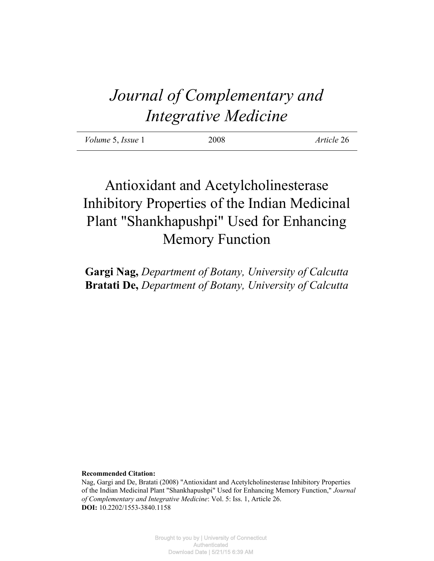# *Journal of Complementary and Integrative Medicine*

| <i>Volume</i> 5, <i>Issue</i> 1 | 2008 | Article 26 |
|---------------------------------|------|------------|
|                                 |      |            |

# Antioxidant and Acetylcholinesterase Inhibitory Properties of the Indian Medicinal Plant "Shankhapushpi" Used for Enhancing Memory Function

**Gargi Nag,** *Department of Botany, University of Calcutta* **Bratati De,** *Department of Botany, University of Calcutta*

**Recommended Citation:**

Nag, Gargi and De, Bratati (2008) "Antioxidant and Acetylcholinesterase Inhibitory Properties of the Indian Medicinal Plant "Shankhapushpi" Used for Enhancing Memory Function," *Journal of Complementary and Integrative Medicine*: Vol. 5: Iss. 1, Article 26. **DOI:** 10.2202/1553-3840.1158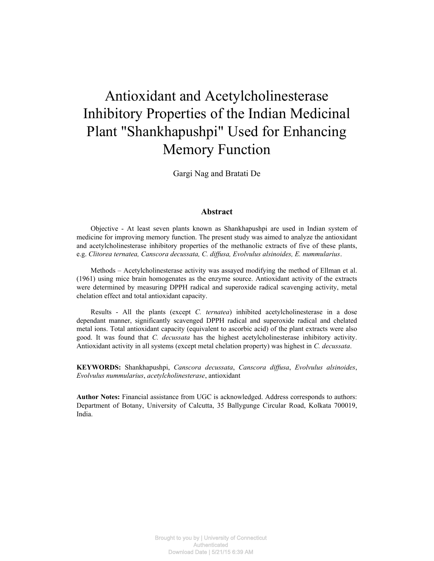# Antioxidant and Acetylcholinesterase Inhibitory Properties of the Indian Medicinal Plant "Shankhapushpi" Used for Enhancing Memory Function

Gargi Nag and Bratati De

#### **Abstract**

Objective - At least seven plants known as Shankhapushpi are used in Indian system of medicine for improving memory function. The present study was aimed to analyze the antioxidant and acetylcholinesterase inhibitory properties of the methanolic extracts of five of these plants, e.g. *Clitorea ternatea, Canscora decussata, C. diffusa, Evolvulus alsinoides, E. nummularius*.

Methods – Acetylcholinesterase activity was assayed modifying the method of Ellman et al. (1961) using mice brain homogenates as the enzyme source. Antioxidant activity of the extracts were determined by measuring DPPH radical and superoxide radical scavenging activity, metal chelation effect and total antioxidant capacity.

Results - All the plants (except *C. ternatea*) inhibited acetylcholinesterase in a dose dependant manner, significantly scavenged DPPH radical and superoxide radical and chelated metal ions. Total antioxidant capacity (equivalent to ascorbic acid) of the plant extracts were also good. It was found that *C. decussata* has the highest acetylcholinesterase inhibitory activity. Antioxidant activity in all systems (except metal chelation property) was highest in *C. decussata*.

**KEYWORDS:** Shankhapushpi, *Canscora decussata*, *Canscora diffusa*, *Evolvulus alsinoides*, *Evolvulus nummularius*, *acetylcholinesterase*, antioxidant

**Author Notes:** Financial assistance from UGC is acknowledged. Address corresponds to authors: Department of Botany, University of Calcutta, 35 Ballygunge Circular Road, Kolkata 700019, India.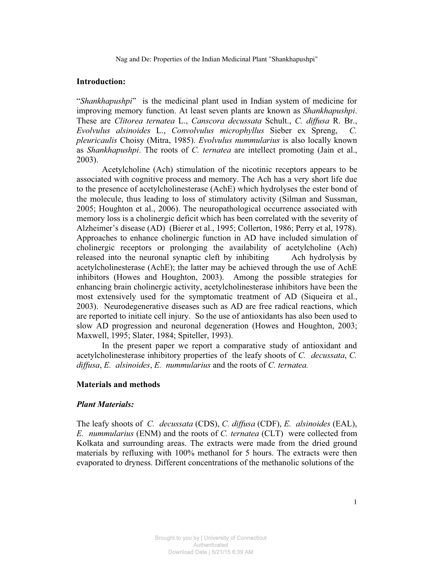#### **Introduction:**

"*Shankhapushpi*" is the medicinal plant used in Indian system of medicine for improving memory function. At least seven plants are known as *Shankhapushpi*. These are *Clitorea ternatea* L., *Canscora decussata* Schult., *C. diffusa* R. Br., *Evolvulus alsinoides* L., *Convolvulus microphyllus* Sieber ex Spreng, *C. pleuricaulis* Choisy (Mitra, 1985). *Evolvulus nummularius* is also locally known as *Shankhapushpi*. The roots of *C. ternatea* are intellect promoting (Jain et al., 2003).

Acetylcholine (Ach) stimulation of the nicotinic receptors appears to be associated with cognitive process and memory. The Ach has a very short life due to the presence of acetylcholinesterase (AchE) which hydrolyses the ester bond of the molecule, thus leading to loss of stimulatory activity (Silman and Sussman, 2005; Houghton et al., 2006). The neuropathological occurrence associated with memory loss is a cholinergic deficit which has been correlated with the severity of Alzheimer's disease (AD) (Bierer et al., 1995; Collerton, 1986; Perry et al, 1978). Approaches to enhance cholinergic function in AD have included simulation of cholinergic receptors or prolonging the availability of acetylcholine (Ach) released into the neuronal synaptic cleft by inhibiting Ach hydrolysis by acetylcholinesterase (AchE); the latter may be achieved through the use of AchE inhibitors (Howes and Houghton, 2003). Among the possible strategies for enhancing brain cholinergic activity, acetylcholinesterase inhibitors have been the most extensively used for the symptomatic treatment of AD (Siqueira et al., 2003). Neurodegenerative diseases such as AD are free radical reactions, which are reported to initiate cell injury. So the use of antioxidants has also been used to slow AD progression and neuronal degeneration (Howes and Houghton, 2003; Maxwell, 1995; Slater, 1984; Spiteller, 1993).

In the present paper we report a comparative study of antioxidant and acetylcholinesterase inhibitory properties of the leafy shoots of *C. decussata*, *C. diffusa*, *E. alsinoides*, *E. nummularius* and the roots of *C. ternatea.* 

#### **Materials and methods**

#### *Plant Materials:*

The leafy shoots of *C. decussata* (CDS), *C. diffusa* (CDF), *E. alsinoides* (EAL), *E. nummularius* (ENM) and the roots of *C. ternatea* (CLT) were collected from Kolkata and surrounding areas. The extracts were made from the dried ground materials by refluxing with 100% methanol for 5 hours. The extracts were then evaporated to dryness. Different concentrations of the methanolic solutions of the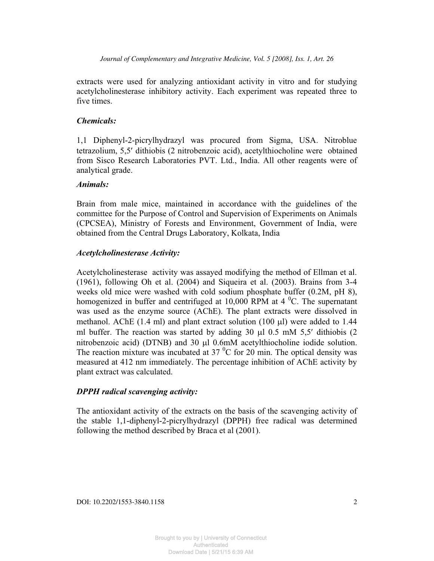extracts were used for analyzing antioxidant activity in vitro and for studying acetylcholinesterase inhibitory activity. Each experiment was repeated three to five times.

## *Chemicals:*

1,1 Diphenyl-2-picrylhydrazyl was procured from Sigma, USA. Nitroblue tetrazolium, 5,5' dithiobis (2 nitrobenzoic acid), acetylthiocholine were obtained from Sisco Research Laboratories PVT. Ltd., India. All other reagents were of analytical grade.

## *Animals:*

Brain from male mice, maintained in accordance with the guidelines of the committee for the Purpose of Control and Supervision of Experiments on Animals (CPCSEA), Ministry of Forests and Environment, Government of India, were obtained from the Central Drugs Laboratory, Kolkata, India

## *Acetylcholinesterase Activity:*

Acetylcholinesterase activity was assayed modifying the method of Ellman et al. (1961), following Oh et al. (2004) and Siqueira et al. (2003). Brains from 3-4 weeks old mice were washed with cold sodium phosphate buffer (0.2M, pH 8), homogenized in buffer and centrifuged at  $10,000$  RPM at  $4^{\circ}$ C. The supernatant was used as the enzyme source (AChE). The plant extracts were dissolved in methanol. AChE  $(1.4 \text{ ml})$  and plant extract solution  $(100 \text{ µ})$  were added to  $1.44$ ml buffer. The reaction was started by adding  $30 \mu l$  0.5 mM 5,5' dithiobis (2 nitrobenzoic acid) (DTNB) and 30  $\mu$ l 0.6mM acetylthiocholine iodide solution. The reaction mixture was incubated at 37  $\mathrm{^{0}C}$  for 20 min. The optical density was measured at 412 nm immediately. The percentage inhibition of AChE activity by plant extract was calculated.

## *DPPH radical scavenging activity:*

The antioxidant activity of the extracts on the basis of the scavenging activity of the stable 1,1-diphenyl-2-picrylhydrazyl (DPPH) free radical was determined following the method described by Braca et al (2001).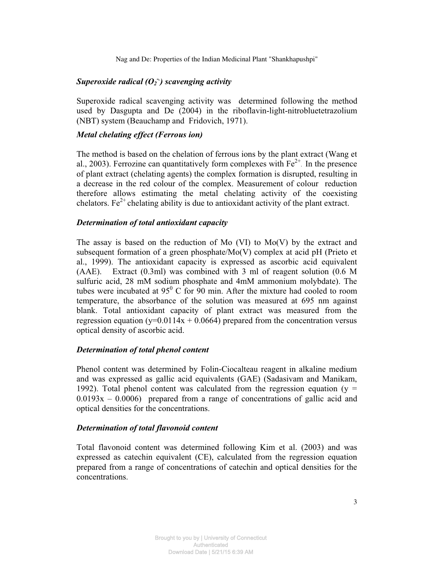# *Superoxide radical (O<sup>2</sup> -.) scavenging activity*

Superoxide radical scavenging activity was determined following the method used by Dasgupta and De (2004) in the riboflavin-light-nitrobluetetrazolium (NBT) system (Beauchamp and Fridovich, 1971).

#### *Metal chelating effect (Ferrous ion)*

The method is based on the chelation of ferrous ions by the plant extract (Wang et al., 2003). Ferrozine can quantitatively form complexes with  $Fe^{2+}$ . In the presence of plant extract (chelating agents) the complex formation is disrupted, resulting in a decrease in the red colour of the complex. Measurement of colour reduction therefore allows estimating the metal chelating activity of the coexisting chelators. Fe<sup>2+</sup> chelating ability is due to antioxidant activity of the plant extract.

#### *Determination of total antioxidant capacity*

The assay is based on the reduction of Mo  $(VI)$  to Mo $(V)$  by the extract and subsequent formation of a green phosphate/ $Mo(V)$  complex at acid pH (Prieto et al., 1999). The antioxidant capacity is expressed as ascorbic acid equivalent (AAE). Extract (0.3ml) was combined with 3 ml of reagent solution (0.6 M sulfuric acid, 28 mM sodium phosphate and 4mM ammonium molybdate). The tubes were incubated at  $95^{\circ}$  C for 90 min. After the mixture had cooled to room temperature, the absorbance of the solution was measured at 695 nm against blank. Total antioxidant capacity of plant extract was measured from the regression equation (y=0.0114x + 0.0664) prepared from the concentration versus optical density of ascorbic acid.

#### *Determination of total phenol content*

Phenol content was determined by Folin-Ciocalteau reagent in alkaline medium and was expressed as gallic acid equivalents (GAE) (Sadasivam and Manikam, 1992). Total phenol content was calculated from the regression equation ( $y =$  $0.0193x - 0.0006$  prepared from a range of concentrations of gallic acid and optical densities for the concentrations.

#### *Determination of total flavonoid content*

Total flavonoid content was determined following Kim et al. (2003) and was expressed as catechin equivalent (CE), calculated from the regression equation prepared from a range of concentrations of catechin and optical densities for the concentrations.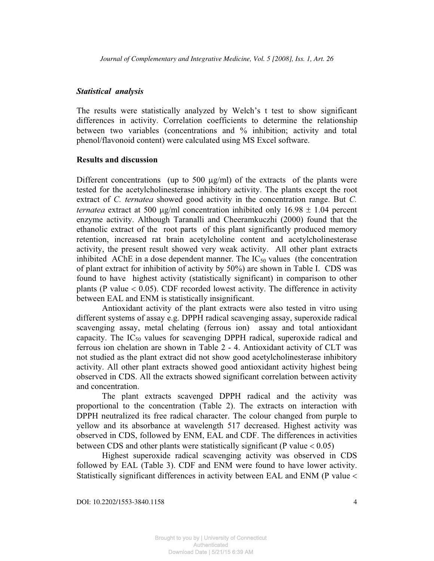#### *Statistical analysis*

The results were statistically analyzed by Welch's t test to show significant differences in activity. Correlation coefficients to determine the relationship between two variables (concentrations and % inhibition; activity and total phenol/flavonoid content) were calculated using MS Excel software.

#### **Results and discussion**

Different concentrations (up to 500  $\mu$ g/ml) of the extracts of the plants were tested for the acetylcholinesterase inhibitory activity. The plants except the root extract of *C. ternatea* showed good activity in the concentration range. But *C. ternatea* extract at 500  $\mu$ g/ml concentration inhibited only 16.98  $\pm$  1.04 percent enzyme activity. Although Taranalli and Cheeramkuczhi (2000) found that the ethanolic extract of the root parts of this plant significantly produced memory retention, increased rat brain acetylcholine content and acetylcholinesterase activity, the present result showed very weak activity. All other plant extracts inhibited AChE in a dose dependent manner. The  $IC_{50}$  values (the concentration of plant extract for inhibition of activity by 50%) are shown in Table I. CDS was found to have highest activity (statistically significant) in comparison to other plants (P value  $< 0.05$ ). CDF recorded lowest activity. The difference in activity between EAL and ENM is statistically insignificant.

Antioxidant activity of the plant extracts were also tested in vitro using different systems of assay e.g. DPPH radical scavenging assay, superoxide radical scavenging assay, metal chelating (ferrous ion) assay and total antioxidant capacity. The  $IC_{50}$  values for scavenging DPPH radical, superoxide radical and ferrous ion chelation are shown in Table 2 - 4. Antioxidant activity of CLT was not studied as the plant extract did not show good acetylcholinesterase inhibitory activity. All other plant extracts showed good antioxidant activity highest being observed in CDS. All the extracts showed significant correlation between activity and concentration.

The plant extracts scavenged DPPH radical and the activity was proportional to the concentration (Table 2). The extracts on interaction with DPPH neutralized its free radical character. The colour changed from purple to yellow and its absorbance at wavelength 517 decreased. Highest activity was observed in CDS, followed by ENM, EAL and CDF. The differences in activities between CDS and other plants were statistically significant (P value  $< 0.05$ )

Highest superoxide radical scavenging activity was observed in CDS followed by EAL (Table 3). CDF and ENM were found to have lower activity. Statistically significant differences in activity between EAL and ENM (P value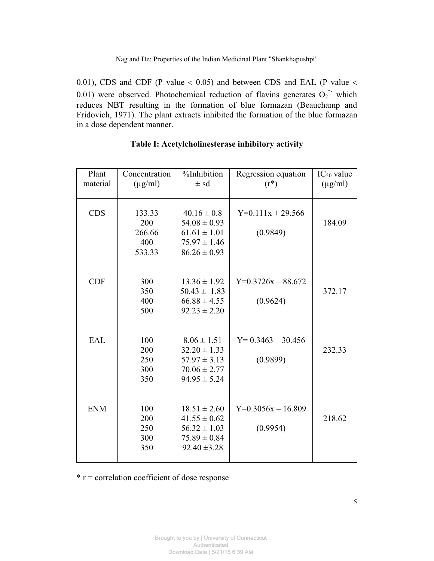0.01), CDS and CDF (P value  $<$  0.05) and between CDS and EAL (P value  $<$ 0.01) were observed. Photochemical reduction of flavins generates  $O_2$ <sup>-</sup> which reduces NBT resulting in the formation of blue formazan (Beauchamp and Fridovich, 1971). The plant extracts inhibited the formation of the blue formazan in a dose dependent manner.

| Plant<br>material | Concentration<br>$(\mu g/ml)$            | %Inhibition<br>$\pm$ sd                                                                          | Regression equation<br>$(r^*)$   | $IC_{50}$ value<br>$(\mu g/ml)$ |
|-------------------|------------------------------------------|--------------------------------------------------------------------------------------------------|----------------------------------|---------------------------------|
| <b>CDS</b>        | 133.33<br>200<br>266.66<br>400<br>533.33 | $40.16 \pm 0.8$<br>$54.08 \pm 0.93$<br>$61.61 \pm 1.01$<br>$75.97 \pm 1.46$<br>$86.26 \pm 0.93$  | $Y=0.111x + 29.566$<br>(0.9849)  | 184.09                          |
| <b>CDF</b>        | 300<br>350<br>400<br>500                 | $13.36 \pm 1.92$<br>$50.43 \pm 1.83$<br>$66.88 \pm 4.55$<br>$92.23 \pm 2.20$                     | $Y=0.3726x - 88.672$<br>(0.9624) | 372.17                          |
| <b>EAL</b>        | 100<br>200<br>250<br>300<br>350          | $8.06 \pm 1.51$<br>$32.20 \pm 1.33$<br>$57.97 \pm 3.13$<br>$70.06 \pm 2.77$<br>$94.95 \pm 5.24$  | $Y= 0.3463 - 30.456$<br>(0.9899) | 232.33                          |
| <b>ENM</b>        | 100<br>200<br>250<br>300<br>350          | $18.51 \pm 2.60$<br>$41.55 \pm 0.62$<br>$56.32 \pm 1.03$<br>$75.89 \pm 0.84$<br>$92.40 \pm 3.28$ | $Y=0.3056x - 16.809$<br>(0.9954) | 218.62                          |

### **Table I: Acetylcholinesterase inhibitory activity**

 $*$  r = correlation coefficient of dose response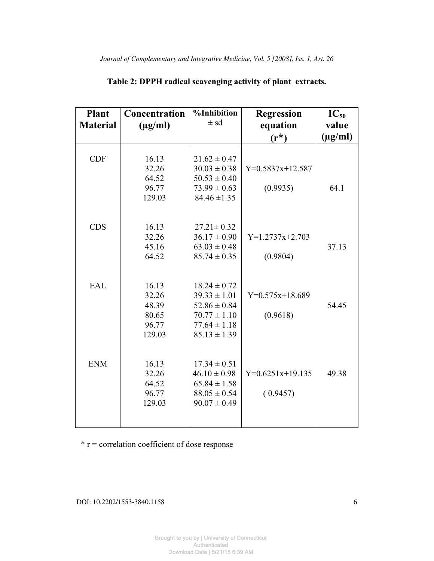| Plant<br><b>Material</b> | Concentration<br>$(\mu g/ml)$ | %Inhibition<br>$\pm$ sd | <b>Regression</b><br>equation | $IC_{50}$<br>value |
|--------------------------|-------------------------------|-------------------------|-------------------------------|--------------------|
|                          |                               |                         | $(r^*)$                       | $(\mu g/ml)$       |
|                          |                               |                         |                               |                    |
| <b>CDF</b>               | 16.13                         | $21.62 \pm 0.47$        |                               |                    |
|                          | 32.26                         | $30.03 \pm 0.38$        | $Y=0.5837x+12.587$            |                    |
|                          | 64.52                         | $50.53 \pm 0.40$        |                               |                    |
|                          | 96.77                         | $73.99 \pm 0.63$        | (0.9935)                      | 64.1               |
|                          | 129.03                        | $84.46 \pm 1.35$        |                               |                    |
|                          |                               |                         |                               |                    |
| <b>CDS</b>               | 16.13                         | $27.21 \pm 0.32$        |                               |                    |
|                          | 32.26                         | $36.17 \pm 0.90$        | $Y=1.2737x+2.703$             |                    |
|                          | 45.16                         | $63.03 \pm 0.48$        |                               | 37.13              |
|                          | 64.52                         | $85.74 \pm 0.35$        | (0.9804)                      |                    |
|                          |                               |                         |                               |                    |
| <b>EAL</b>               | 16.13                         | $18.24 \pm 0.72$        |                               |                    |
|                          | 32.26                         | $39.33 \pm 1.01$        | $Y=0.575x+18.689$             |                    |
|                          | 48.39                         | $52.86 \pm 0.84$        |                               | 54.45              |
|                          | 80.65                         | $70.77 \pm 1.10$        | (0.9618)                      |                    |
|                          | 96.77                         | $77.64 \pm 1.18$        |                               |                    |
|                          | 129.03                        | $85.13 \pm 1.39$        |                               |                    |
|                          |                               |                         |                               |                    |
| <b>ENM</b>               | 16.13                         | $17.34 \pm 0.51$        |                               |                    |
|                          | 32.26                         | $46.10 \pm 0.98$        | $Y=0.6251x+19.135$            | 49.38              |
|                          | 64.52                         | $65.84 \pm 1.58$        |                               |                    |
|                          | 96.77                         | $88.05 \pm 0.54$        | (0.9457)                      |                    |
|                          | 129.03                        | $90.07 \pm 0.49$        |                               |                    |
|                          |                               |                         |                               |                    |

# **Table 2: DPPH radical scavenging activity of plant extracts.**

 $*$  r = correlation coefficient of dose response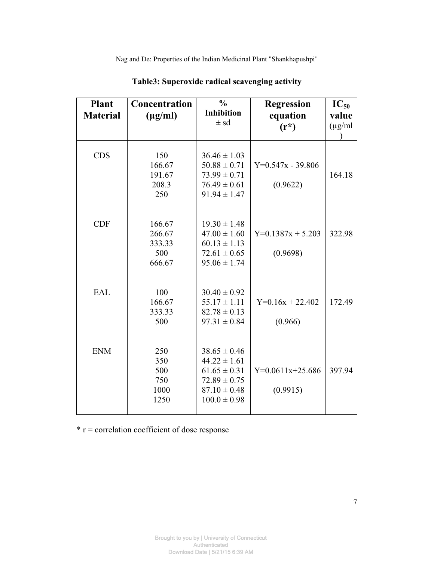| <b>Plant</b><br><b>Material</b> | Concentration<br>$(\mu g/ml)$               | $\frac{0}{0}$<br><b>Inhibition</b><br>$\pm$ sd                                                                       | <b>Regression</b><br>equation<br>$(r^*)$ | $IC_{50}$<br>value<br>$(\mu g/ml)$ |
|---------------------------------|---------------------------------------------|----------------------------------------------------------------------------------------------------------------------|------------------------------------------|------------------------------------|
| <b>CDS</b>                      | 150<br>166.67<br>191.67<br>208.3<br>250     | $36.46 \pm 1.03$<br>$50.88 \pm 0.71$<br>$73.99 \pm 0.71$<br>$76.49 \pm 0.61$<br>$91.94 \pm 1.47$                     | $Y=0.547x - 39.806$<br>(0.9622)          | 164.18                             |
| <b>CDF</b>                      | 166.67<br>266.67<br>333.33<br>500<br>666.67 | $19.30 \pm 1.48$<br>$47.00 \pm 1.60$<br>$60.13 \pm 1.13$<br>$72.61 \pm 0.65$<br>$95.06 \pm 1.74$                     | $Y=0.1387x + 5.203$<br>(0.9698)          | 322.98                             |
| <b>EAL</b>                      | 100<br>166.67<br>333.33<br>500              | $30.40 \pm 0.92$<br>$55.17 \pm 1.11$<br>$82.78 \pm 0.13$<br>$97.31 \pm 0.84$                                         | $Y=0.16x + 22.402$<br>(0.966)            | 172.49                             |
| <b>ENM</b>                      | 250<br>350<br>500<br>750<br>1000<br>1250    | $38.65 \pm 0.46$<br>$44.22 \pm 1.61$<br>$61.65 \pm 0.31$<br>$72.89 \pm 0.75$<br>$87.10 \pm 0.48$<br>$100.0 \pm 0.98$ | $Y=0.0611x+25.686$<br>(0.9915)           | 397.94                             |

**Table3: Superoxide radical scavenging activity** 

 $*$  r = correlation coefficient of dose response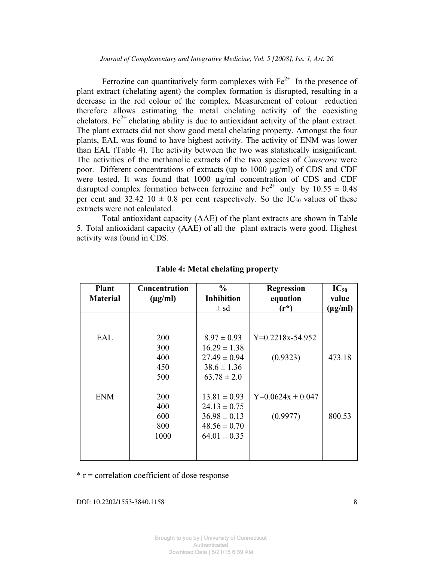Ferrozine can quantitatively form complexes with  $Fe<sup>2+</sup>$ . In the presence of plant extract (chelating agent) the complex formation is disrupted, resulting in a decrease in the red colour of the complex. Measurement of colour reduction therefore allows estimating the metal chelating activity of the coexisting chelators. Fe<sup>2+</sup> chelating ability is due to antioxidant activity of the plant extract. The plant extracts did not show good metal chelating property. Amongst the four plants, EAL was found to have highest activity. The activity of ENM was lower than EAL (Table 4). The activity between the two was statistically insignificant. The activities of the methanolic extracts of the two species of *Canscora* were poor. Different concentrations of extracts (up to  $1000 \mu g/ml$ ) of CDS and CDF were tested. It was found that 1000 µg/ml concentration of CDS and CDF disrupted complex formation between ferrozine and  $Fe^{2+}$  only by 10.55  $\pm$  0.48 per cent and 32.42 10  $\pm$  0.8 per cent respectively. So the IC<sub>50</sub> values of these extracts were not calculated.

Total antioxidant capacity (AAE) of the plant extracts are shown in Table 5. Total antioxidant capacity (AAE) of all the plant extracts were good. Highest activity was found in CDS.

| <b>Plant</b>    | Concentration | $\frac{0}{0}$     | <b>Regression</b>   | $IC_{50}$    |
|-----------------|---------------|-------------------|---------------------|--------------|
| <b>Material</b> | $(\mu g/ml)$  | <b>Inhibition</b> | equation            | value        |
|                 |               | $\pm$ sd          | $(r^*)$             | $(\mu g/ml)$ |
|                 |               |                   |                     |              |
|                 |               |                   |                     |              |
| EAL             | 200           | $8.97 \pm 0.93$   | $Y=0.2218x-54.952$  |              |
|                 | 300           | $16.29 \pm 1.38$  |                     |              |
|                 | 400           | $27.49 \pm 0.94$  | (0.9323)            | 473.18       |
|                 | 450           | $38.6 \pm 1.36$   |                     |              |
|                 | 500           | $63.78 \pm 2.0$   |                     |              |
|                 |               |                   |                     |              |
| <b>ENM</b>      | 200           | $13.81 \pm 0.93$  | $Y=0.0624x + 0.047$ |              |
|                 | 400           | $24.13 \pm 0.75$  |                     |              |
|                 | 600           | $36.98 \pm 0.13$  | (0.9977)            | 800.53       |
|                 | 800           | $48.56 \pm 0.70$  |                     |              |
|                 | 1000          | $64.01 \pm 0.35$  |                     |              |
|                 |               |                   |                     |              |
|                 |               |                   |                     |              |

#### **Table 4: Metal chelating property**

 $*$  r = correlation coefficient of dose response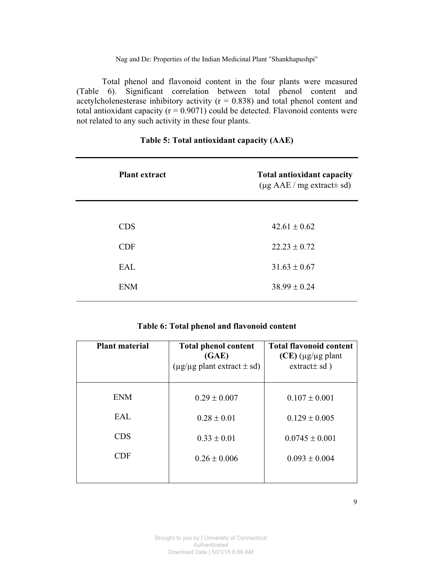Total phenol and flavonoid content in the four plants were measured (Table 6). Significant correlation between total phenol content and acetylcholenesterase inhibitory activity  $(r = 0.838)$  and total phenol content and total antioxidant capacity ( $r = 0.9071$ ) could be detected. Flavonoid contents were not related to any such activity in these four plants.

| <b>Plant extract</b> | <b>Total antioxidant capacity</b><br>$(\mu g \text{ AAE} / \text{mg} \text{ extract} \pm \text{sd})$ |
|----------------------|------------------------------------------------------------------------------------------------------|
| <b>CDS</b>           | $42.61 \pm 0.62$                                                                                     |
| <b>CDF</b>           | $22.23 \pm 0.72$                                                                                     |
| <b>EAL</b>           | $31.63 \pm 0.67$                                                                                     |
| <b>ENM</b>           | $38.99 \pm 0.24$                                                                                     |

## **Table 5: Total antioxidant capacity (AAE)**

## **Table 6: Total phenol and flavonoid content**

| <b>Plant material</b> | <b>Total phenol content</b><br>(GAE)<br>$(\mu g / \mu g$ plant extract $\pm$ sd) | <b>Total flavonoid content</b><br>$(CE)$ ( $\mu$ g/ $\mu$ g plant<br>extract $\pm$ sd) |
|-----------------------|----------------------------------------------------------------------------------|----------------------------------------------------------------------------------------|
| <b>ENM</b>            | $0.29 \pm 0.007$                                                                 | $0.107 \pm 0.001$                                                                      |
|                       |                                                                                  |                                                                                        |
| EAL                   | $0.28 \pm 0.01$                                                                  | $0.129 \pm 0.005$                                                                      |
| <b>CDS</b>            | $0.33 \pm 0.01$                                                                  | $0.0745 \pm 0.001$                                                                     |
| <b>CDF</b>            | $0.26 \pm 0.006$                                                                 | $0.093 \pm 0.004$                                                                      |
|                       |                                                                                  |                                                                                        |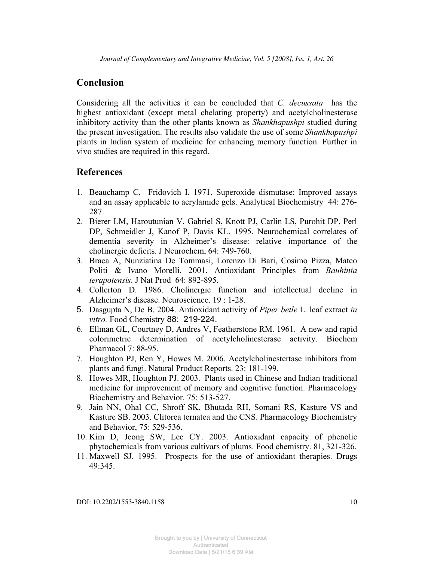# **Conclusion**

Considering all the activities it can be concluded that *C. decussata* has the highest antioxidant (except metal chelating property) and acetylcholinesterase inhibitory activity than the other plants known as *Shankhapushpi* studied during the present investigation. The results also validate the use of some *Shankhapushpi* plants in Indian system of medicine for enhancing memory function. Further in vivo studies are required in this regard.

# **References**

- 1. Beauchamp C, Fridovich I. 1971. Superoxide dismutase: Improved assays and an assay applicable to acrylamide gels. Analytical Biochemistry 44: 276- 287.
- 2. Bierer LM, Haroutunian V, Gabriel S, Knott PJ, Carlin LS, Purohit DP, Perl DP, Schmeidler J, Kanof P, Davis KL. 1995. Neurochemical correlates of dementia severity in Alzheimer's disease: relative importance of the cholinergic deficits. J Neurochem, 64: 749-760.
- 3. Braca A, Nunziatina De Tommasi, Lorenzo Di Bari, Cosimo Pizza, Mateo Politi & Ivano Morelli. 2001. Antioxidant Principles from *Bauhinia terapotensis*. J Nat Prod 64: 892-895.
- 4. Collerton D. 1986. Cholinergic function and intellectual decline in Alzheimer's disease. Neuroscience. 19 : 1-28.
- 5. Dasgupta N, De B. 2004. Antioxidant activity of *Piper betle* L. leaf extract *in vitro.* Food Chemistry 88: 219-224.
- 6. Ellman GL, Courtney D, Andres V, Featherstone RM. 1961. A new and rapid colorimetric determination of acetylcholinesterase activity. Biochem Pharmacol 7: 88-95.
- 7. Houghton PJ, Ren Y, Howes M. 2006. Acetylcholinestertase inhibitors from plants and fungi. Natural Product Reports. 23: 181-199.
- 8. Howes MR, Houghton PJ. 2003. Plants used in Chinese and Indian traditional medicine for improvement of memory and cognitive function. Pharmacology Biochemistry and Behavior. 75: 513-527.
- 9. Jain NN, Ohal CC, Shroff SK, Bhutada RH, Somani RS, Kasture VS and Kasture SB. 2003. Clitorea ternatea and the CNS. Pharmacology Biochemistry and Behavior, 75: 529-536.
- 10. Kim D, Jeong SW, Lee CY. 2003. Antioxidant capacity of phenolic phytochemicals from various cultivars of plums. Food chemistry. 81, 321-326.
- 11. Maxwell SJ. 1995. Prospects for the use of antioxidant therapies. Drugs 49:345.